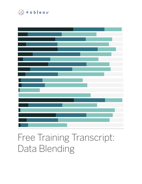

# Free Training Transcript: Data Blending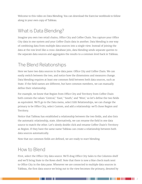Welcome to this video on Data Blending. You can download the Exercise workbook to follow along in your own copy of Tableau.

### What is Data Blending?

Imagine you own two retail chains, Office City and Coffee Chain. You capture your Office City data in one system and your Coffee Chain data in another. Data blending is one way of combining data from multiple data sources into a single view. Instead of joining the data at the row level like a cross-database join, data blending sends separate queries to the separate data sources and aggregates the results to a common level back in Tableau.

# The Blend Relationships

Here we have two data sources in the data pane: Office City and Coffee Chain. We can easily switch between the two, and notice how the dimensions and measures change. Data blending requires at least one common field between both data sources, such as State. If the field names are different, but have common members, we can manually define their relationship.

For example, we know that Region from Office City and Territory from Coffee Chain both contain the values 'Central,' 'East,' 'South,' and 'West,' so let's define the two fields as equivalent. We'll go to the Data menu, select Edit Relationships, we can change the primary to be Office City, select Custom, and add a relationship: we'll chose Region and Territory.

Notice that Tableau has established a relationship between the two fields, and also lists the automatic relationship, state. Alternatively, we can rename the field in one data source to match the other. Let's slowly double click and rename Coffee Chain's Territory as Region. If they have the same name Tableau can create a relationship between both data sources automatically.

Now that our common fields are defined, we are ready to start blending.

#### How to Blend

First, select the Office City data source. We'll drag Office City Sales to the Columns shelf and we'll bring State to the Rows shelf. Note that there is now a blue check mark next to Office City in the data pane. Whenever we are connected to multiple data sources in Tableau, the first data source we bring out to the view becomes the primary, denoted by